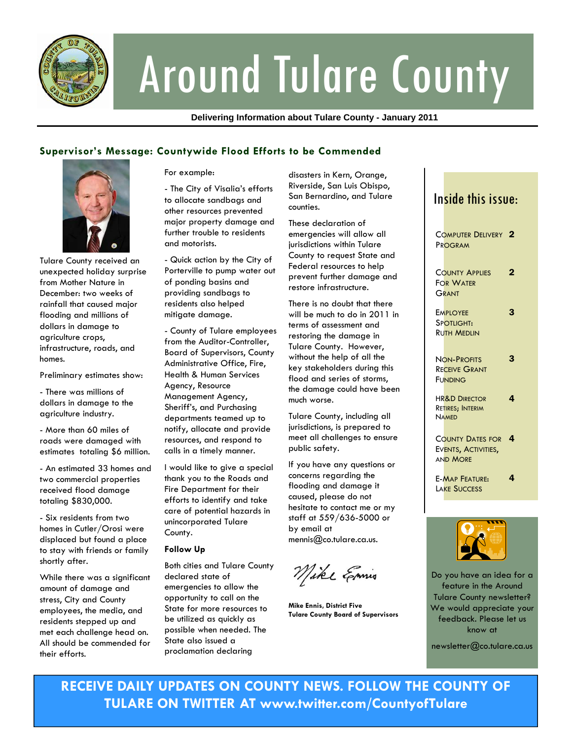

# Around Tulare County

**Delivering Information about Tulare County - January 2011** 

### **Supervisor's Message: Countywide Flood Efforts to be Commended**



Tulare County received an unexpected holiday surprise from Mother Nature in December: two weeks of rainfall that caused major flooding and millions of dollars in damage to agriculture crops, infrastructure, roads, and homes.

Preliminary estimates show:

- There was millions of dollars in damage to the agriculture industry.

- More than 60 miles of roads were damaged with estimates totaling \$6 million.

- An estimated 33 homes and two commercial properties received flood damage totaling \$830,000.

- Six residents from two homes in Cutler/Orosi were displaced but found a place to stay with friends or family shortly after.

While there was a significant amount of damage and stress, City and County employees, the media, and residents stepped up and met each challenge head on. All should be commended for their efforts.

For example:

- The City of Visalia's efforts to allocate sandbags and other resources prevented major property damage and further trouble to residents and motorists.

- Quick action by the City of Porterville to pump water out of ponding basins and providing sandbags to residents also helped mitigate damage.

- County of Tulare employees from the Auditor-Controller, Board of Supervisors, County Administrative Office, Fire, Health & Human Services Agency, Resource Management Agency, Sheriff's, and Purchasing departments teamed up to notify, allocate and provide resources, and respond to calls in a timely manner.

I would like to give a special thank you to the Roads and Fire Department for their efforts to identify and take care of potential hazards in unincorporated Tulare County.

#### **Follow Up**

Both cities and Tulare County declared state of emergencies to allow the opportunity to call on the State for more resources to be utilized as quickly as possible when needed. The State also issued a proclamation declaring

disasters in Kern, Orange, Riverside, San Luis Obispo, San Bernardino, and Tulare counties.

These declaration of emergencies will allow all jurisdictions within Tulare County to request State and Federal resources to help prevent further damage and restore infrastructure.

There is no doubt that there will be much to do in 2011 in terms of assessment and restoring the damage in Tulare County. However, without the help of all the key stakeholders during this flood and series of storms, the damage could have been much worse.

Tulare County, including all jurisdictions, is prepared to meet all challenges to ensure public safety.

If you have any questions or concerns regarding the flooding and damage it caused, please do not hesitate to contact me or my staff at 559/636-5000 or by email at mennis@co.tulare.ca.us.

Mike Emis

**Mike Ennis, District Five Tulare County Board of Supervisors** 





Do you have an idea for a feature in the Around Tulare County newsletter? We would appreciate your feedback. Please let us know at

newsletter@co.tulare.ca.us

**RECEIVE DAILY UPDATES ON COUNTY NEWS. FOLLOW THE COUNTY OF TULARE ON TWITTER AT www.twitter.com/CountyofTulare**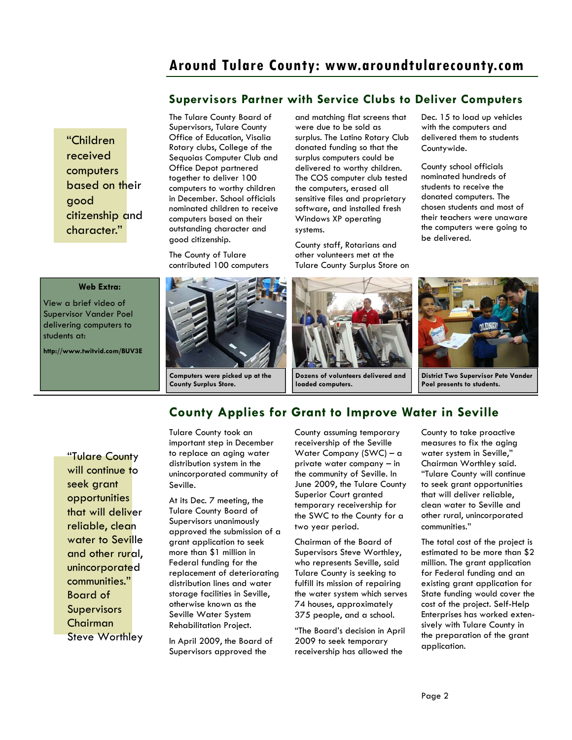## **Around Tulare County: www.aroundtularecounty.com**

#### **Supervisors Partner with Service Clubs to Deliver Computers**

"Children received computers based on their good citizenship and character."

#### **Web Extra:**

View a brief video of Supervisor Vander Poel delivering computers to students at:

**http://www.twitvid.com/BUV3E** 

The Tulare County Board of Supervisors, Tulare County Office of Education, Visalia Rotary clubs, College of the Sequoias Computer Club and Office Depot partnered together to deliver 100 computers to worthy children in December. School officials nominated children to receive computers based on their outstanding character and good citizenship.

The County of Tulare contributed 100 computers and matching flat screens that were due to be sold as surplus. The Latino Rotary Club donated funding so that the surplus computers could be delivered to worthy children. The COS computer club tested the computers, erased all sensitive files and proprietary software, and installed fresh Windows XP operating systems.

County staff, Rotarians and other volunteers met at the Tulare County Surplus Store on Dec. 15 to load up vehicles with the computers and delivered them to students Countywide.

County school officials nominated hundreds of students to receive the donated computers. The chosen students and most of their teachers were unaware the computers were going to be delivered.



**Dozens of volunteers delivered and loaded computers.** 



**District Two Supervisor Pete Vander Poel presents to students.** 

"Tulare County will continue to seek grant opportunities that will deliver reliable, clean water to Seville and other rural, unincorporated communities." Board of Supervisors Chairman Steve Worthley

## **County Applies for Grant to Improve Water in Seville**

Tulare County took an important step in December to replace an aging water distribution system in the unincorporated community of Seville.

**County Surplus Store.** 

At its Dec. 7 meeting, the Tulare County Board of Supervisors unanimously approved the submission of a grant application to seek more than \$1 million in Federal funding for the replacement of deteriorating distribution lines and water storage facilities in Seville, otherwise known as the Seville Water System Rehabilitation Project.

In April 2009, the Board of Supervisors approved the

County assuming temporary receivership of the Seville Water Company (SWC) – a private water company – in the community of Seville. In June 2009, the Tulare County Superior Court granted temporary receivership for the SWC to the County for a two year period.

Chairman of the Board of Supervisors Steve Worthley, who represents Seville, said Tulare County is seeking to fulfill its mission of repairing the water system which serves 74 houses, approximately 375 people, and a school.

"The Board's decision in April 2009 to seek temporary receivership has allowed the

County to take proactive measures to fix the aging water system in Seville," Chairman Worthley said. "Tulare County will continue to seek grant opportunities that will deliver reliable, clean water to Seville and other rural, unincorporated communities."

The total cost of the project is estimated to be more than \$2 million. The grant application for Federal funding and an existing grant application for State funding would cover the cost of the project. Self-Help Enterprises has worked extensively with Tulare County in the preparation of the grant application.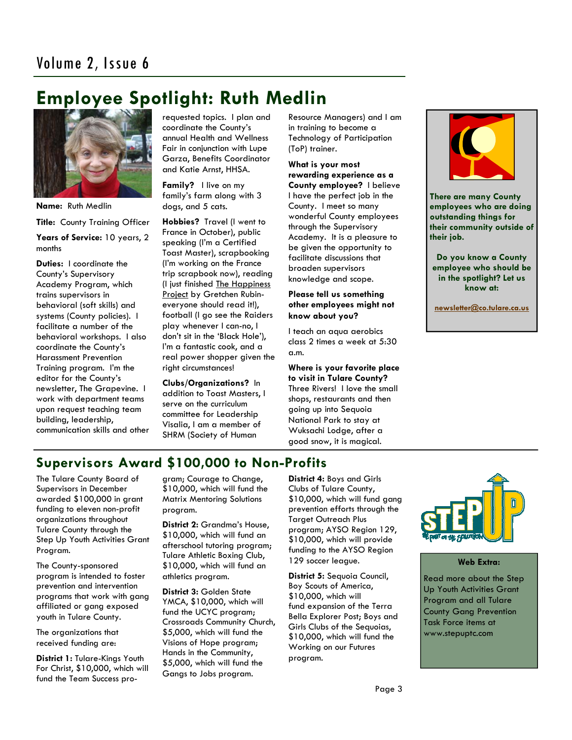## **Employee Spotlight: Ruth Medlin**



**Name:** Ruth Medlin **Title:** County Training Officer **Years of Service:** 10 years, 2 months

**Duties:** I coordinate the County's Supervisory Academy Program, which trains supervisors in behavioral (soft skills) and systems (County policies). I facilitate a number of the behavioral workshops. I also coordinate the County's Harassment Prevention Training program. I'm the editor for the County's newsletter, The Grapevine. I work with department teams upon request teaching team building, leadership, communication skills and other requested topics. I plan and coordinate the County's annual Health and Wellness Fair in conjunction with Lupe Garza, Benefits Coordinator and Katie Arnst, HHSA.

**Family?** I live on my family's farm along with 3 dogs, and 5 cats.

**Hobbies?** Travel (I went to France in October), public speaking (I'm a Certified Toast Master), scrapbooking (I'm working on the France trip scrapbook now), reading (I just finished The Happiness Project by Gretchen Rubineveryone should read it!), football (I go see the Raiders play whenever I can-no, I don't sit in the 'Black Hole'), I'm a fantastic cook, and a real power shopper given the right circumstances!

**Clubs/Organizations?** In addition to Toast Masters, I serve on the curriculum committee for Leadership Visalia, I am a member of SHRM (Society of Human

Resource Managers) and I am in training to become a Technology of Participation (ToP) trainer.

**What is your most rewarding experience as a County employee?** I believe I have the perfect job in the County. I meet so many wonderful County employees through the Supervisory Academy. It is a pleasure to be given the opportunity to facilitate discussions that broaden supervisors knowledge and scope.

#### **Please tell us something other employees might not know about you?**

I teach an aqua aerobics class 2 times a week at 5:30 a.m.

**Where is your favorite place to visit in Tulare County?**  Three Rivers! I love the small shops, restaurants and then going up into Sequoia National Park to stay at Wuksachi Lodge, after a good snow, it is magical.



**There are many County employees who are doing outstanding things for their community outside of their job.** 

**Do you know a County employee who should be in the spotlight? Let us know at:** 

**newsletter@co.tulare.ca.us**

## **Supervisors Award \$100,000 to Non-Profits**

The Tulare County Board of Supervisors in December awarded \$100,000 in grant funding to eleven non-profit organizations throughout Tulare County through the Step Up Youth Activities Grant Program.

The County-sponsored program is intended to foster prevention and intervention programs that work with gang affiliated or gang exposed youth in Tulare County.

The organizations that received funding are:

**District 1:** Tulare-Kings Youth For Christ, \$10,000, which will fund the Team Success program; Courage to Change, \$10,000, which will fund the Matrix Mentoring Solutions program.

**District 2:** Grandma's House, \$10,000, which will fund an afterschool tutoring program; Tulare Athletic Boxing Club, \$10,000, which will fund an athletics program.

**District 3:** Golden State YMCA, \$10,000, which will fund the UCYC program; Crossroads Community Church, \$5,000, which will fund the Visions of Hope program; Hands in the Community, \$5,000, which will fund the Gangs to Jobs program.

**District 4:** Boys and Girls Clubs of Tulare County, \$10,000, which will fund gang prevention efforts through the Target Outreach Plus program; AYSO Region 129, \$10,000, which will provide funding to the AYSO Region 129 soccer league.

**District 5:** Sequoia Council, Boy Scouts of America, \$10,000, which will fund expansion of the Terra Bella Explorer Post; Boys and Girls Clubs of the Sequoias, \$10,000, which will fund the Working on our Futures program.



#### **Web Extra:**

Read more about the Step Up Youth Activities Grant Program and all Tulare County Gang Prevention Task Force items at www.stepuptc.com